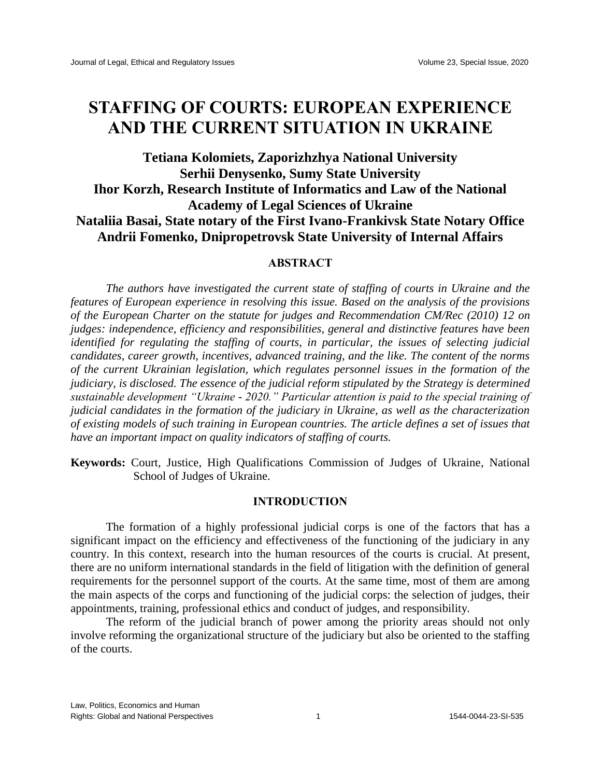# **STAFFING OF COURTS: EUROPEAN EXPERIENCE AND THE CURRENT SITUATION IN UKRAINE**

# **Tetiana Kolomiets, Zaporizhzhya National University Serhii Denysenko, Sumy State University Ihor Korzh, Research Institute of Informatics and Law of the National Academy of Legal Sciences of Ukraine Nataliia Basai, State notary of the First Ivano-Frankivsk State Notary Office Andrii Fomenko, Dnipropetrovsk State University of Internal Affairs**

# **ABSTRACT**

*The authors have investigated the current state of staffing of courts in Ukraine and the features of European experience in resolving this issue. Based on the analysis of the provisions of the European Charter on the statute for judges and Recommendation CM/Rec (2010) 12 on judges: independence, efficiency and responsibilities, general and distinctive features have been identified for regulating the staffing of courts, in particular, the issues of selecting judicial candidates, career growth, incentives, advanced training, and the like. The content of the norms of the current Ukrainian legislation, which regulates personnel issues in the formation of the judiciary, is disclosed. The essence of the judicial reform stipulated by the Strategy is determined sustainable development "Ukraine - 2020." Particular attention is paid to the special training of judicial candidates in the formation of the judiciary in Ukraine, as well as the characterization of existing models of such training in European countries. The article defines a set of issues that have an important impact on quality indicators of staffing of courts.*

**Keywords:** Court, Justice, High Qualifications Commission of Judges of Ukraine, National School of Judges of Ukraine.

### **INTRODUCTION**

The formation of a highly professional judicial corps is one of the factors that has a significant impact on the efficiency and effectiveness of the functioning of the judiciary in any country. In this context, research into the human resources of the courts is crucial. At present, there are no uniform international standards in the field of litigation with the definition of general requirements for the personnel support of the courts. At the same time, most of them are among the main aspects of the corps and functioning of the judicial corps: the selection of judges, their appointments, training, professional ethics and conduct of judges, and responsibility.

The reform of the judicial branch of power among the priority areas should not only involve reforming the organizational structure of the judiciary but also be oriented to the staffing of the courts.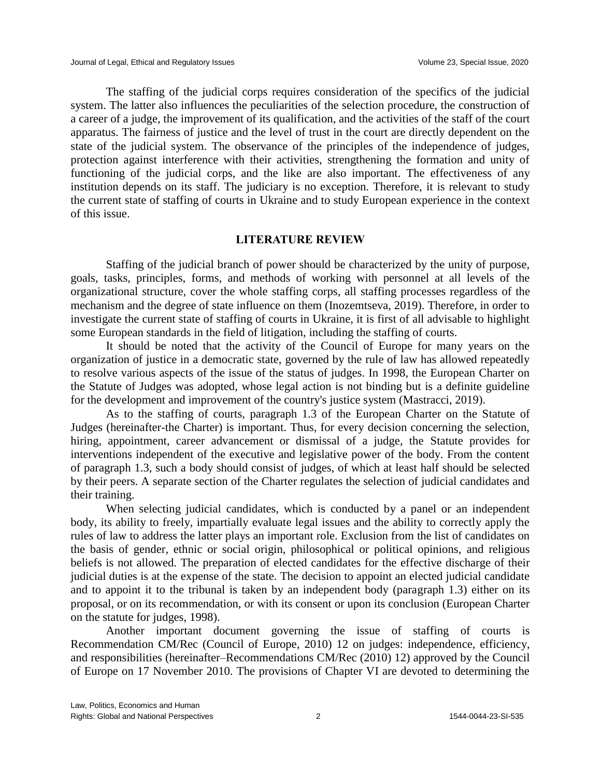The staffing of the judicial corps requires consideration of the specifics of the judicial system. The latter also influences the peculiarities of the selection procedure, the construction of a career of a judge, the improvement of its qualification, and the activities of the staff of the court apparatus. The fairness of justice and the level of trust in the court are directly dependent on the state of the judicial system. The observance of the principles of the independence of judges, protection against interference with their activities, strengthening the formation and unity of functioning of the judicial corps, and the like are also important. The effectiveness of any institution depends on its staff. The judiciary is no exception. Therefore, it is relevant to study the current state of staffing of courts in Ukraine and to study European experience in the context of this issue.

#### **LITERATURE REVIEW**

Staffing of the judicial branch of power should be characterized by the unity of purpose, goals, tasks, principles, forms, and methods of working with personnel at all levels of the organizational structure, cover the whole staffing corps, all staffing processes regardless of the mechanism and the degree of state influence on them (Inozemtseva, 2019). Therefore, in order to investigate the current state of staffing of courts in Ukraine, it is first of all advisable to highlight some European standards in the field of litigation, including the staffing of courts.

It should be noted that the activity of the Council of Europe for many years on the organization of justice in a democratic state, governed by the rule of law has allowed repeatedly to resolve various aspects of the issue of the status of judges. In 1998, the European Charter on the Statute of Judges was adopted, whose legal action is not binding but is a definite guideline for the development and improvement of the country's justice system (Mastracci, 2019).

As to the staffing of courts, paragraph 1.3 of the European Charter on the Statute of Judges (hereinafter-the Charter) is important. Thus, for every decision concerning the selection, hiring, appointment, career advancement or dismissal of a judge, the Statute provides for interventions independent of the executive and legislative power of the body. From the content of paragraph 1.3, such a body should consist of judges, of which at least half should be selected by their peers. A separate section of the Charter regulates the selection of judicial candidates and their training.

When selecting judicial candidates, which is conducted by a panel or an independent body, its ability to freely, impartially evaluate legal issues and the ability to correctly apply the rules of law to address the latter plays an important role. Exclusion from the list of candidates on the basis of gender, ethnic or social origin, philosophical or political opinions, and religious beliefs is not allowed. The preparation of elected candidates for the effective discharge of their judicial duties is at the expense of the state. The decision to appoint an elected judicial candidate and to appoint it to the tribunal is taken by an independent body (paragraph 1.3) either on its proposal, or on its recommendation, or with its consent or upon its conclusion (European Charter on the statute for judges, 1998).

Another important document governing the issue of staffing of courts is Recommendation CM/Rec (Council of Europe, 2010) 12 on judges: independence, efficiency, and responsibilities (hereinafter–Recommendations CM/Rec (2010) 12) approved by the Council of Europe on 17 November 2010. The provisions of Chapter VI are devoted to determining the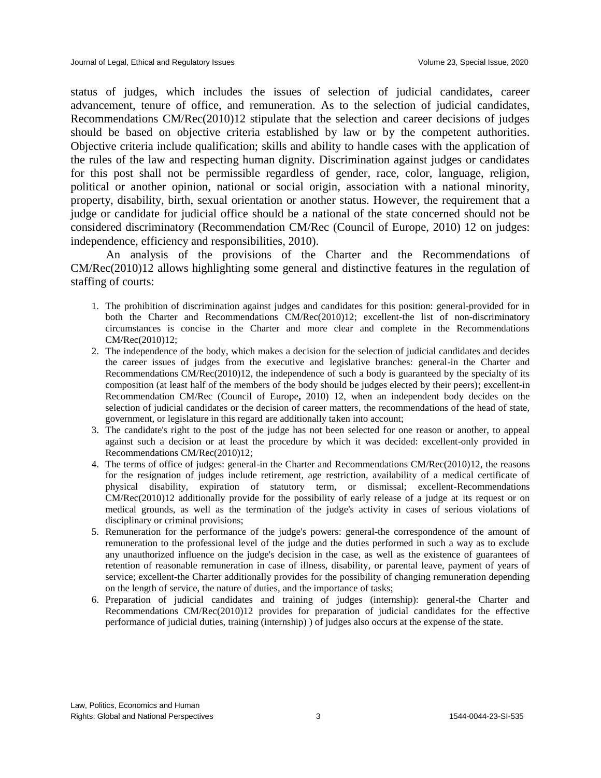status of judges, which includes the issues of selection of judicial candidates, career advancement, tenure of office, and remuneration. As to the selection of judicial candidates, Recommendations CM/Rec(2010)12 stipulate that the selection and career decisions of judges should be based on objective criteria established by law or by the competent authorities. Objective criteria include qualification; skills and ability to handle cases with the application of the rules of the law and respecting human dignity. Discrimination against judges or candidates for this post shall not be permissible regardless of gender, race, color, language, religion, political or another opinion, national or social origin, association with a national minority, property, disability, birth, sexual orientation or another status. However, the requirement that a judge or candidate for judicial office should be a national of the state concerned should not be considered discriminatory (Recommendation CM/Rec (Council of Europe, 2010) 12 on judges: independence, efficiency and responsibilities, 2010).

An analysis of the provisions of the Charter and the Recommendations of CM/Rec(2010)12 allows highlighting some general and distinctive features in the regulation of staffing of courts:

- 1. The prohibition of discrimination against judges and candidates for this position: general-provided for in both the Charter and Recommendations CM/Rec(2010)12; excellent-the list of non-discriminatory circumstances is concise in the Charter and more clear and complete in the Recommendations CM/Rec(2010)12;
- 2. The independence of the body, which makes a decision for the selection of judicial candidates and decides the career issues of judges from the executive and legislative branches: general-in the Charter and Recommendations CM/Rec(2010)12, the independence of such a body is guaranteed by the specialty of its composition (at least half of the members of the body should be judges elected by their peers); excellent-in Recommendation CM/Rec (Council of Europe**,** 2010) 12, when an independent body decides on the selection of judicial candidates or the decision of career matters, the recommendations of the head of state, government, or legislature in this regard are additionally taken into account;
- 3. The candidate's right to the post of the judge has not been selected for one reason or another, to appeal against such a decision or at least the procedure by which it was decided: excellent-only provided in Recommendations CM/Rec(2010)12;
- 4. The terms of office of judges: general-in the Charter and Recommendations CM/Rec(2010)12, the reasons for the resignation of judges include retirement, age restriction, availability of a medical certificate of physical disability, expiration of statutory term, or dismissal; excellent-Recommendations CM/Rec(2010)12 additionally provide for the possibility of early release of a judge at its request or on medical grounds, as well as the termination of the judge's activity in cases of serious violations of disciplinary or criminal provisions;
- 5. Remuneration for the performance of the judge's powers: general-the correspondence of the amount of remuneration to the professional level of the judge and the duties performed in such a way as to exclude any unauthorized influence on the judge's decision in the case, as well as the existence of guarantees of retention of reasonable remuneration in case of illness, disability, or parental leave, payment of years of service; excellent-the Charter additionally provides for the possibility of changing remuneration depending on the length of service, the nature of duties, and the importance of tasks;
- 6. Preparation of judicial candidates and training of judges (internship): general-the Charter and Recommendations CM/Rec(2010)12 provides for preparation of judicial candidates for the effective performance of judicial duties, training (internship) ) of judges also occurs at the expense of the state.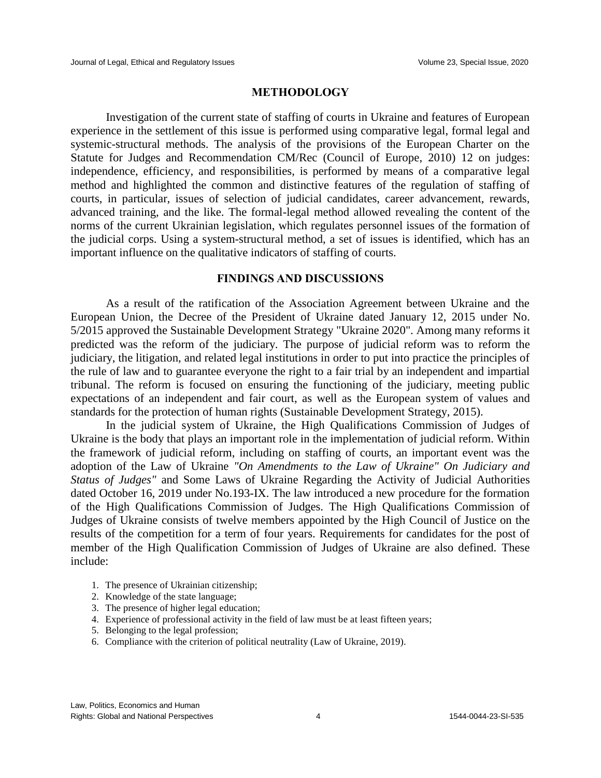#### **METHODOLOGY**

Investigation of the current state of staffing of courts in Ukraine and features of European experience in the settlement of this issue is performed using comparative legal, formal legal and systemic-structural methods. The analysis of the provisions of the European Charter on the Statute for Judges and Recommendation CM/Rec (Council of Europe, 2010) 12 on judges: independence, efficiency, and responsibilities, is performed by means of a comparative legal method and highlighted the common and distinctive features of the regulation of staffing of courts, in particular, issues of selection of judicial candidates, career advancement, rewards, advanced training, and the like. The formal-legal method allowed revealing the content of the norms of the current Ukrainian legislation, which regulates personnel issues of the formation of the judicial corps. Using a system-structural method, a set of issues is identified, which has an important influence on the qualitative indicators of staffing of courts.

#### **FINDINGS AND DISCUSSIONS**

As a result of the ratification of the Association Agreement between Ukraine and the European Union, the Decree of the President of Ukraine dated January 12, 2015 under No. 5/2015 approved the Sustainable Development Strategy "Ukraine 2020". Among many reforms it predicted was the reform of the judiciary. The purpose of judicial reform was to reform the judiciary, the litigation, and related legal institutions in order to put into practice the principles of the rule of law and to guarantee everyone the right to a fair trial by an independent and impartial tribunal. The reform is focused on ensuring the functioning of the judiciary, meeting public expectations of an independent and fair court, as well as the European system of values and standards for the protection of human rights (Sustainable Development Strategy, 2015).

In the judicial system of Ukraine, the High Qualifications Commission of Judges of Ukraine is the body that plays an important role in the implementation of judicial reform. Within the framework of judicial reform, including on staffing of courts, an important event was the adoption of the Law of Ukraine *"On Amendments to the Law of Ukraine" On Judiciary and Status of Judges"* and Some Laws of Ukraine Regarding the Activity of Judicial Authorities dated October 16, 2019 under No.193-IX. The law introduced a new procedure for the formation of the High Qualifications Commission of Judges. The High Qualifications Commission of Judges of Ukraine consists of twelve members appointed by the High Council of Justice on the results of the competition for a term of four years. Requirements for candidates for the post of member of the High Qualification Commission of Judges of Ukraine are also defined. These include:

- 1. The presence of Ukrainian citizenship;
- 2. Knowledge of the state language;
- 3. The presence of higher legal education;
- 4. Experience of professional activity in the field of law must be at least fifteen years;
- 5. Belonging to the legal profession;
- 6. Compliance with the criterion of political neutrality (Law of Ukraine, 2019).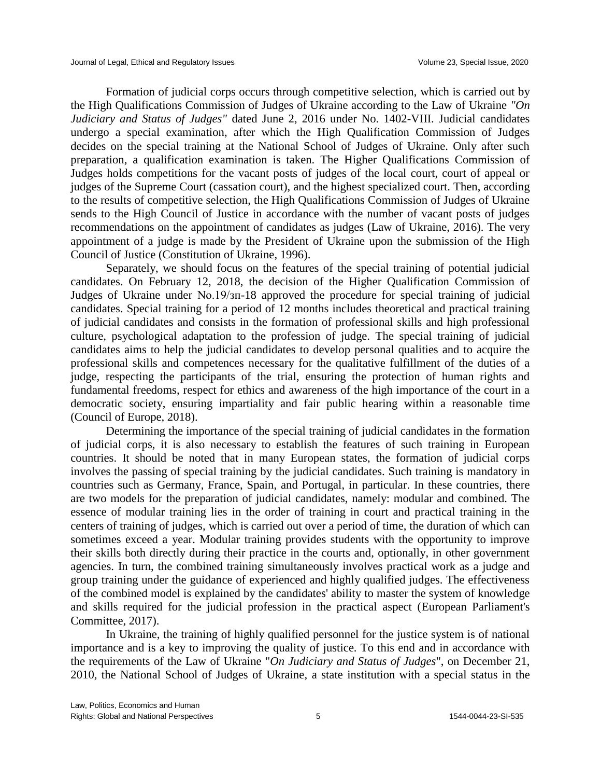Formation of judicial corps occurs through competitive selection, which is carried out by the High Qualifications Commission of Judges of Ukraine according to the Law of Ukraine *"On Judiciary and Status of Judges"* dated June 2, 2016 under No. 1402-VIII. Judicial candidates undergo a special examination, after which the High Qualification Commission of Judges decides on the special training at the National School of Judges of Ukraine. Only after such preparation, a qualification examination is taken. The Higher Qualifications Commission of Judges holds competitions for the vacant posts of judges of the local court, court of appeal or judges of the Supreme Court (cassation court), and the highest specialized court. Then, according to the results of competitive selection, the High Qualifications Commission of Judges of Ukraine sends to the High Council of Justice in accordance with the number of vacant posts of judges recommendations on the appointment of candidates as judges (Law of Ukraine, 2016). The very appointment of a judge is made by the President of Ukraine upon the submission of the High Council of Justice (Constitution of Ukraine, 1996).

Separately, we should focus on the features of the special training of potential judicial candidates. On February 12, 2018, the decision of the Higher Qualification Commission of Judges of Ukraine under No.19/зп-18 approved the procedure for special training of judicial candidates. Special training for a period of 12 months includes theoretical and practical training of judicial candidates and consists in the formation of professional skills and high professional culture, psychological adaptation to the profession of judge. The special training of judicial candidates aims to help the judicial candidates to develop personal qualities and to acquire the professional skills and competences necessary for the qualitative fulfillment of the duties of a judge, respecting the participants of the trial, ensuring the protection of human rights and fundamental freedoms, respect for ethics and awareness of the high importance of the court in a democratic society, ensuring impartiality and fair public hearing within a reasonable time (Council of Europe, 2018).

Determining the importance of the special training of judicial candidates in the formation of judicial corps, it is also necessary to establish the features of such training in European countries. It should be noted that in many European states, the formation of judicial corps involves the passing of special training by the judicial candidates. Such training is mandatory in countries such as Germany, France, Spain, and Portugal, in particular. In these countries, there are two models for the preparation of judicial candidates, namely: modular and combined. The essence of modular training lies in the order of training in court and practical training in the centers of training of judges, which is carried out over a period of time, the duration of which can sometimes exceed a year. Modular training provides students with the opportunity to improve their skills both directly during their practice in the courts and, optionally, in other government agencies. In turn, the combined training simultaneously involves practical work as a judge and group training under the guidance of experienced and highly qualified judges. The effectiveness of the combined model is explained by the candidates' ability to master the system of knowledge and skills required for the judicial profession in the practical aspect (European Parliament's Committee, 2017).

In Ukraine, the training of highly qualified personnel for the justice system is of national importance and is a key to improving the quality of justice. To this end and in accordance with the requirements of the Law of Ukraine "*On Judiciary and Status of Judges*", on December 21, 2010, the National School of Judges of Ukraine, a state institution with a special status in the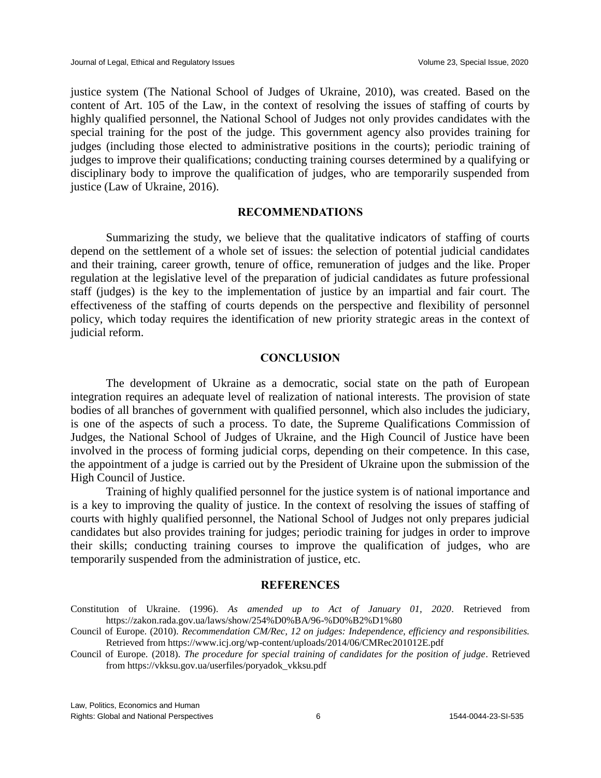justice system (The National School of Judges of Ukraine, 2010), was created. Based on the content of Art. 105 of the Law, in the context of resolving the issues of staffing of courts by highly qualified personnel, the National School of Judges not only provides candidates with the special training for the post of the judge. This government agency also provides training for judges (including those elected to administrative positions in the courts); periodic training of judges to improve their qualifications; conducting training courses determined by a qualifying or disciplinary body to improve the qualification of judges, who are temporarily suspended from justice (Law of Ukraine, 2016).

# **RECOMMENDATIONS**

Summarizing the study, we believe that the qualitative indicators of staffing of courts depend on the settlement of a whole set of issues: the selection of potential judicial candidates and their training, career growth, tenure of office, remuneration of judges and the like. Proper regulation at the legislative level of the preparation of judicial candidates as future professional staff (judges) is the key to the implementation of justice by an impartial and fair court. The effectiveness of the staffing of courts depends on the perspective and flexibility of personnel policy, which today requires the identification of new priority strategic areas in the context of judicial reform.

#### **CONCLUSION**

The development of Ukraine as a democratic, social state on the path of European integration requires an adequate level of realization of national interests. The provision of state bodies of all branches of government with qualified personnel, which also includes the judiciary, is one of the aspects of such a process. To date, the Supreme Qualifications Commission of Judges, the National School of Judges of Ukraine, and the High Council of Justice have been involved in the process of forming judicial corps, depending on their competence. In this case, the appointment of a judge is carried out by the President of Ukraine upon the submission of the High Council of Justice.

Training of highly qualified personnel for the justice system is of national importance and is a key to improving the quality of justice. In the context of resolving the issues of staffing of courts with highly qualified personnel, the National School of Judges not only prepares judicial candidates but also provides training for judges; periodic training for judges in order to improve their skills; conducting training courses to improve the qualification of judges, who are temporarily suspended from the administration of justice, etc.

#### **REFERENCES**

- Constitution of Ukraine. (1996). *As amended up to Act of January 01, 2020*. Retrieved from https://zakon.rada.gov.ua/laws/show/254%D0%BA/96-%D0%B2%D1%80
- Council of Europe. (2010). *Recommendation CM/Rec, 12 on judges: Independence, efficiency and responsibilities.* Retrieved from https://www.icj.org/wp-content/uploads/2014/06/CMRec201012E.pdf
- Council of Europe. (2018). *The procedure for special training of candidates for the position of judge*. Retrieved from https://vkksu.gov.ua/userfiles/poryadok\_vkksu.pdf

Law, Politics, Economics and Human Rights: Global and National Perspectives 6 1544-0044-23-SI-535